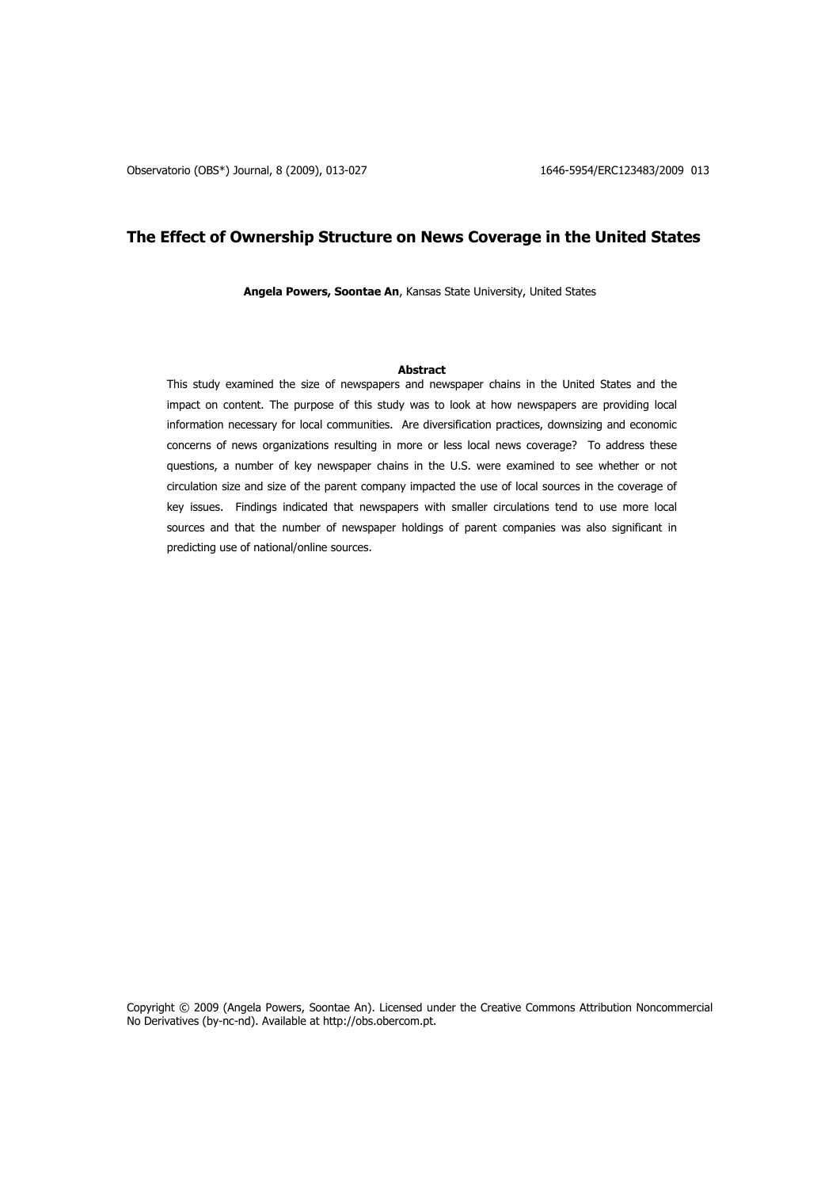# **The Effect of Ownership Structure on News Coverage in the United States**

**Angela Powers, Soontae An**, Kansas State University, United States

### **Abstract**

This study examined the size of newspapers and newspaper chains in the United States and the impact on content. The purpose of this study was to look at how newspapers are providing local information necessary for local communities. Are diversification practices, downsizing and economic concerns of news organizations resulting in more or less local news coverage? To address these questions, a number of key newspaper chains in the U.S. were examined to see whether or not circulation size and size of the parent company impacted the use of local sources in the coverage of key issues. Findings indicated that newspapers with smaller circulations tend to use more local sources and that the number of newspaper holdings of parent companies was also significant in predicting use of national/online sources.

Copyright © 2009 (Angela Powers, Soontae An). Licensed under the Creative Commons Attribution Noncommercial No Derivatives (by-nc-nd). Available at http://obs.obercom.pt.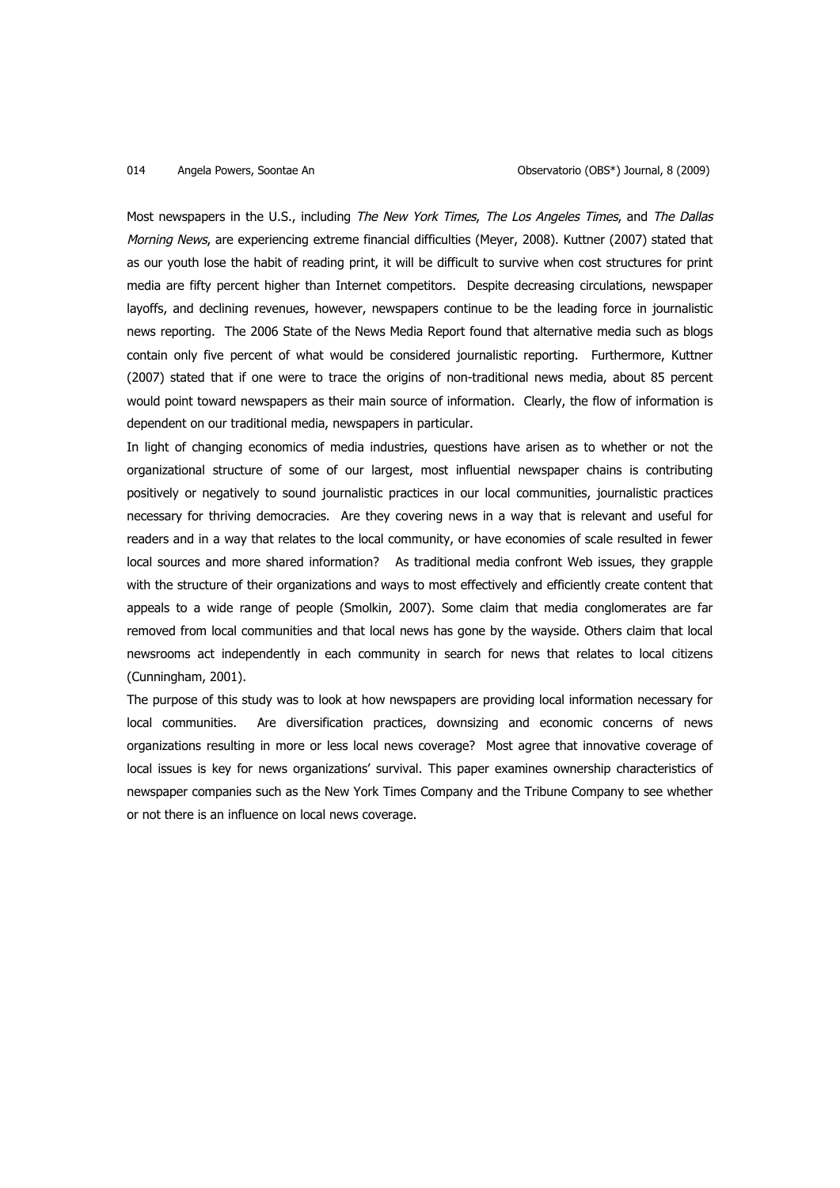Most newspapers in the U.S., including The New York Times, The Los Angeles Times, and The Dallas Morning News, are experiencing extreme financial difficulties (Meyer, 2008). Kuttner (2007) stated that as our youth lose the habit of reading print, it will be difficult to survive when cost structures for print media are fifty percent higher than Internet competitors. Despite decreasing circulations, newspaper layoffs, and declining revenues, however, newspapers continue to be the leading force in journalistic news reporting. The 2006 State of the News Media Report found that alternative media such as blogs contain only five percent of what would be considered journalistic reporting. Furthermore, Kuttner (2007) stated that if one were to trace the origins of non-traditional news media, about 85 percent would point toward newspapers as their main source of information. Clearly, the flow of information is dependent on our traditional media, newspapers in particular.

In light of changing economics of media industries, questions have arisen as to whether or not the organizational structure of some of our largest, most influential newspaper chains is contributing positively or negatively to sound journalistic practices in our local communities, journalistic practices necessary for thriving democracies. Are they covering news in a way that is relevant and useful for readers and in a way that relates to the local community, or have economies of scale resulted in fewer local sources and more shared information? As traditional media confront Web issues, they grapple with the structure of their organizations and ways to most effectively and efficiently create content that appeals to a wide range of people (Smolkin, 2007). Some claim that media conglomerates are far removed from local communities and that local news has gone by the wayside. Others claim that local newsrooms act independently in each community in search for news that relates to local citizens (Cunningham, 2001).

The purpose of this study was to look at how newspapers are providing local information necessary for local communities. Are diversification practices, downsizing and economic concerns of news organizations resulting in more or less local news coverage? Most agree that innovative coverage of local issues is key for news organizations' survival. This paper examines ownership characteristics of newspaper companies such as the New York Times Company and the Tribune Company to see whether or not there is an influence on local news coverage.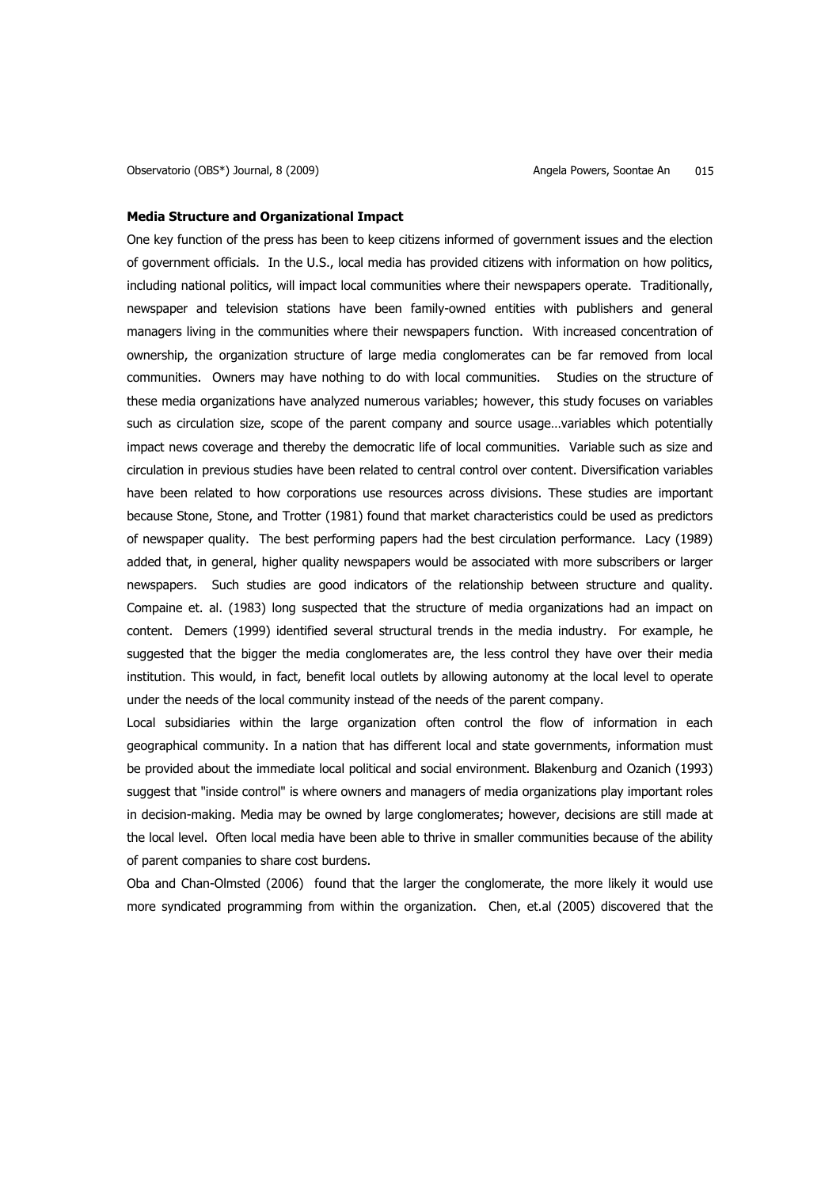### **Media Structure and Organizational Impact**

One key function of the press has been to keep citizens informed of government issues and the election of government officials. In the U.S., local media has provided citizens with information on how politics, including national politics, will impact local communities where their newspapers operate. Traditionally, newspaper and television stations have been family-owned entities with publishers and general managers living in the communities where their newspapers function. With increased concentration of ownership, the organization structure of large media conglomerates can be far removed from local communities. Owners may have nothing to do with local communities. Studies on the structure of these media organizations have analyzed numerous variables; however, this study focuses on variables such as circulation size, scope of the parent company and source usage…variables which potentially impact news coverage and thereby the democratic life of local communities. Variable such as size and circulation in previous studies have been related to central control over content. Diversification variables have been related to how corporations use resources across divisions. These studies are important because Stone, Stone, and Trotter (1981) found that market characteristics could be used as predictors of newspaper quality. The best performing papers had the best circulation performance. Lacy (1989) added that, in general, higher quality newspapers would be associated with more subscribers or larger newspapers. Such studies are good indicators of the relationship between structure and quality. Compaine et. al. (1983) long suspected that the structure of media organizations had an impact on content. Demers (1999) identified several structural trends in the media industry. For example, he suggested that the bigger the media conglomerates are, the less control they have over their media institution. This would, in fact, benefit local outlets by allowing autonomy at the local level to operate under the needs of the local community instead of the needs of the parent company.

Local subsidiaries within the large organization often control the flow of information in each geographical community. In a nation that has different local and state governments, information must be provided about the immediate local political and social environment. Blakenburg and Ozanich (1993) suggest that "inside control" is where owners and managers of media organizations play important roles in decision-making. Media may be owned by large conglomerates; however, decisions are still made at the local level. Often local media have been able to thrive in smaller communities because of the ability of parent companies to share cost burdens.

Oba and Chan-Olmsted (2006) found that the larger the conglomerate, the more likely it would use more syndicated programming from within the organization. Chen, et.al (2005) discovered that the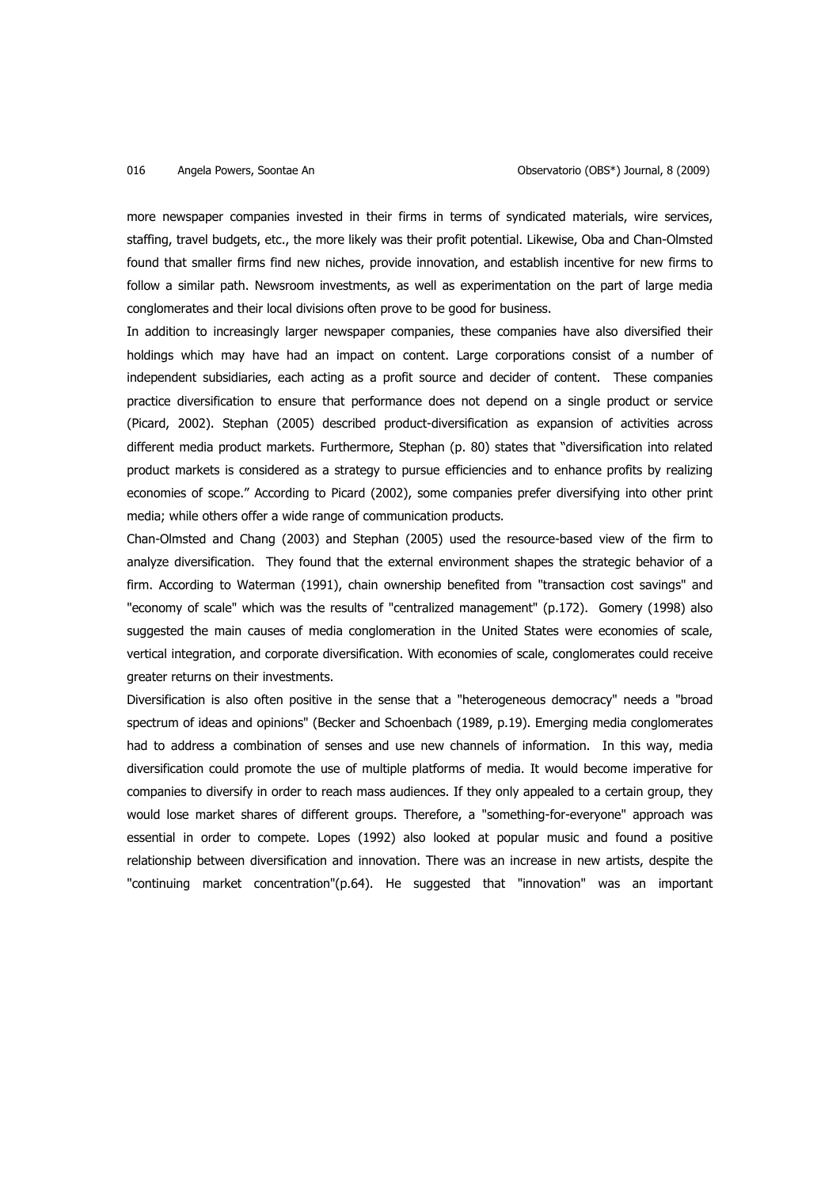more newspaper companies invested in their firms in terms of syndicated materials, wire services, staffing, travel budgets, etc., the more likely was their profit potential. Likewise, Oba and Chan-Olmsted found that smaller firms find new niches, provide innovation, and establish incentive for new firms to follow a similar path. Newsroom investments, as well as experimentation on the part of large media conglomerates and their local divisions often prove to be good for business.

In addition to increasingly larger newspaper companies, these companies have also diversified their holdings which may have had an impact on content. Large corporations consist of a number of independent subsidiaries, each acting as a profit source and decider of content. These companies practice diversification to ensure that performance does not depend on a single product or service (Picard, 2002). Stephan (2005) described product-diversification as expansion of activities across different media product markets. Furthermore, Stephan (p. 80) states that "diversification into related product markets is considered as a strategy to pursue efficiencies and to enhance profits by realizing economies of scope." According to Picard (2002), some companies prefer diversifying into other print media; while others offer a wide range of communication products.

Chan-Olmsted and Chang (2003) and Stephan (2005) used the resource-based view of the firm to analyze diversification. They found that the external environment shapes the strategic behavior of a firm. According to Waterman (1991), chain ownership benefited from "transaction cost savings" and "economy of scale" which was the results of "centralized management" (p.172). Gomery (1998) also suggested the main causes of media conglomeration in the United States were economies of scale, vertical integration, and corporate diversification. With economies of scale, conglomerates could receive greater returns on their investments.

Diversification is also often positive in the sense that a "heterogeneous democracy" needs a "broad spectrum of ideas and opinions" (Becker and Schoenbach (1989, p.19). Emerging media conglomerates had to address a combination of senses and use new channels of information. In this way, media diversification could promote the use of multiple platforms of media. It would become imperative for companies to diversify in order to reach mass audiences. If they only appealed to a certain group, they would lose market shares of different groups. Therefore, a "something-for-everyone" approach was essential in order to compete. Lopes (1992) also looked at popular music and found a positive relationship between diversification and innovation. There was an increase in new artists, despite the "continuing market concentration"(p.64). He suggested that "innovation" was an important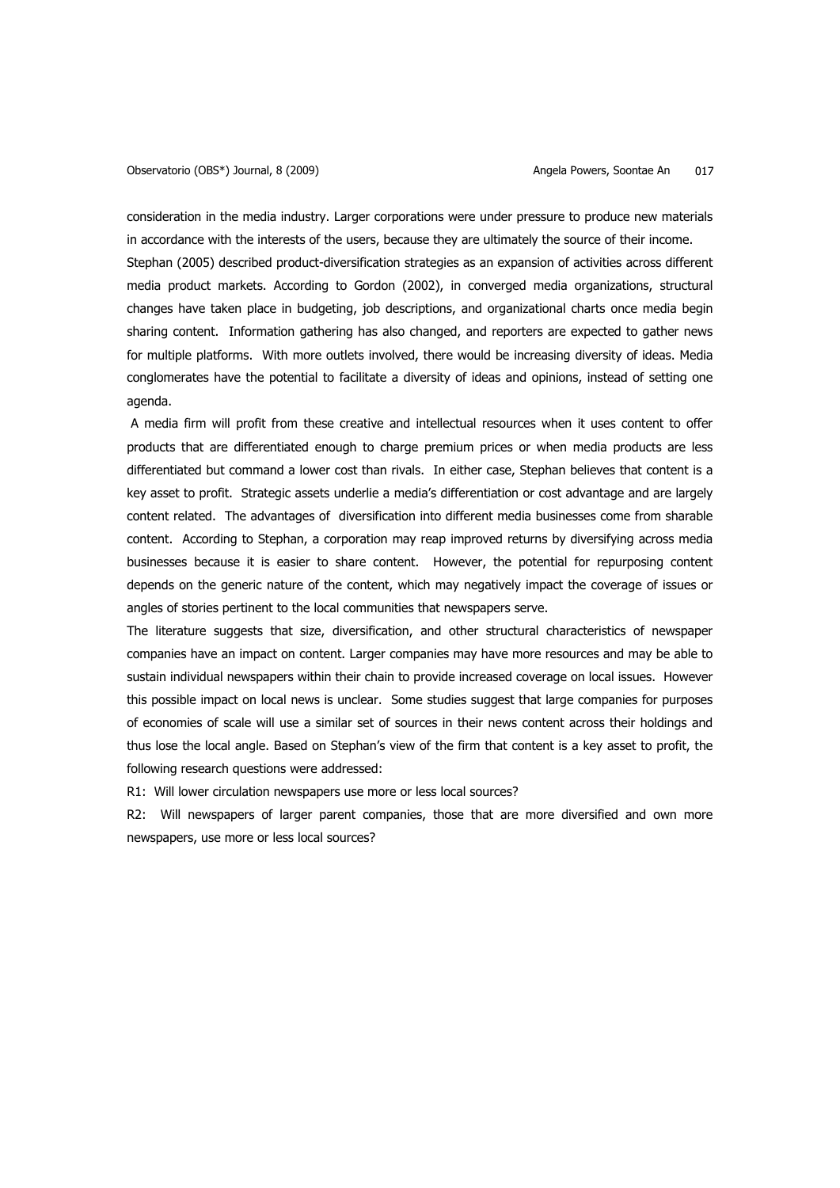consideration in the media industry. Larger corporations were under pressure to produce new materials in accordance with the interests of the users, because they are ultimately the source of their income. Stephan (2005) described product-diversification strategies as an expansion of activities across different media product markets. According to Gordon (2002), in converged media organizations, structural changes have taken place in budgeting, job descriptions, and organizational charts once media begin sharing content. Information gathering has also changed, and reporters are expected to gather news for multiple platforms. With more outlets involved, there would be increasing diversity of ideas. Media conglomerates have the potential to facilitate a diversity of ideas and opinions, instead of setting one agenda.

 A media firm will profit from these creative and intellectual resources when it uses content to offer products that are differentiated enough to charge premium prices or when media products are less differentiated but command a lower cost than rivals. In either case, Stephan believes that content is a key asset to profit. Strategic assets underlie a media's differentiation or cost advantage and are largely content related. The advantages of diversification into different media businesses come from sharable content. According to Stephan, a corporation may reap improved returns by diversifying across media businesses because it is easier to share content. However, the potential for repurposing content depends on the generic nature of the content, which may negatively impact the coverage of issues or angles of stories pertinent to the local communities that newspapers serve.

The literature suggests that size, diversification, and other structural characteristics of newspaper companies have an impact on content. Larger companies may have more resources and may be able to sustain individual newspapers within their chain to provide increased coverage on local issues. However this possible impact on local news is unclear. Some studies suggest that large companies for purposes of economies of scale will use a similar set of sources in their news content across their holdings and thus lose the local angle. Based on Stephan's view of the firm that content is a key asset to profit, the following research questions were addressed:

R1: Will lower circulation newspapers use more or less local sources?

R2: Will newspapers of larger parent companies, those that are more diversified and own more newspapers, use more or less local sources?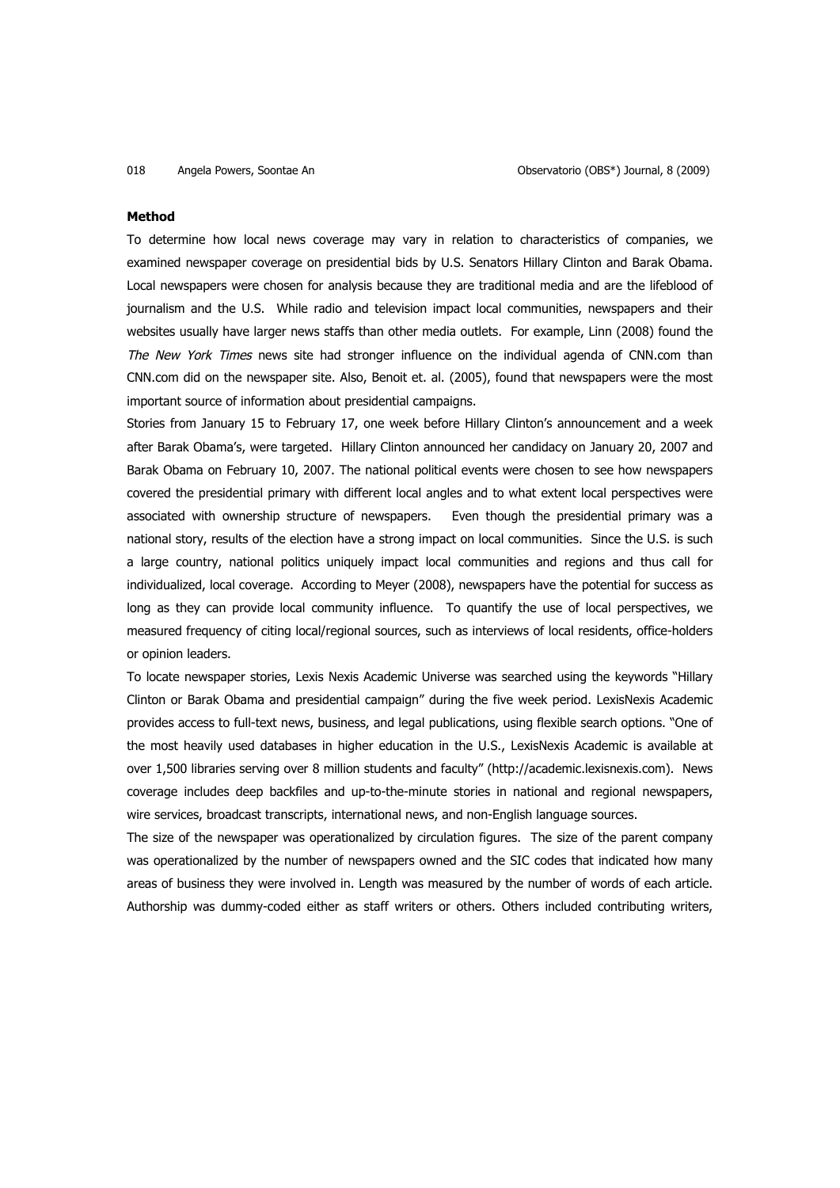### **Method**

To determine how local news coverage may vary in relation to characteristics of companies, we examined newspaper coverage on presidential bids by U.S. Senators Hillary Clinton and Barak Obama. Local newspapers were chosen for analysis because they are traditional media and are the lifeblood of journalism and the U.S. While radio and television impact local communities, newspapers and their websites usually have larger news staffs than other media outlets. For example, Linn (2008) found the The New York Times news site had stronger influence on the individual agenda of CNN.com than CNN.com did on the newspaper site. Also, Benoit et. al. (2005), found that newspapers were the most important source of information about presidential campaigns.

Stories from January 15 to February 17, one week before Hillary Clinton's announcement and a week after Barak Obama's, were targeted. Hillary Clinton announced her candidacy on January 20, 2007 and Barak Obama on February 10, 2007. The national political events were chosen to see how newspapers covered the presidential primary with different local angles and to what extent local perspectives were associated with ownership structure of newspapers. Even though the presidential primary was a national story, results of the election have a strong impact on local communities. Since the U.S. is such a large country, national politics uniquely impact local communities and regions and thus call for individualized, local coverage. According to Meyer (2008), newspapers have the potential for success as long as they can provide local community influence. To quantify the use of local perspectives, we measured frequency of citing local/regional sources, such as interviews of local residents, office-holders or opinion leaders.

To locate newspaper stories, Lexis Nexis Academic Universe was searched using the keywords "Hillary Clinton or Barak Obama and presidential campaign" during the five week period. LexisNexis Academic provides access to full-text news, business, and legal publications, using flexible search options. "One of the most heavily used databases in higher education in the U.S., LexisNexis Academic is available at over 1,500 libraries serving over 8 million students and faculty" (http://academic.lexisnexis.com). News coverage includes deep backfiles and up-to-the-minute stories in national and regional newspapers, wire services, broadcast transcripts, international news, and non-English language sources.

The size of the newspaper was operationalized by circulation figures. The size of the parent company was operationalized by the number of newspapers owned and the SIC codes that indicated how many areas of business they were involved in. Length was measured by the number of words of each article. Authorship was dummy-coded either as staff writers or others. Others included contributing writers,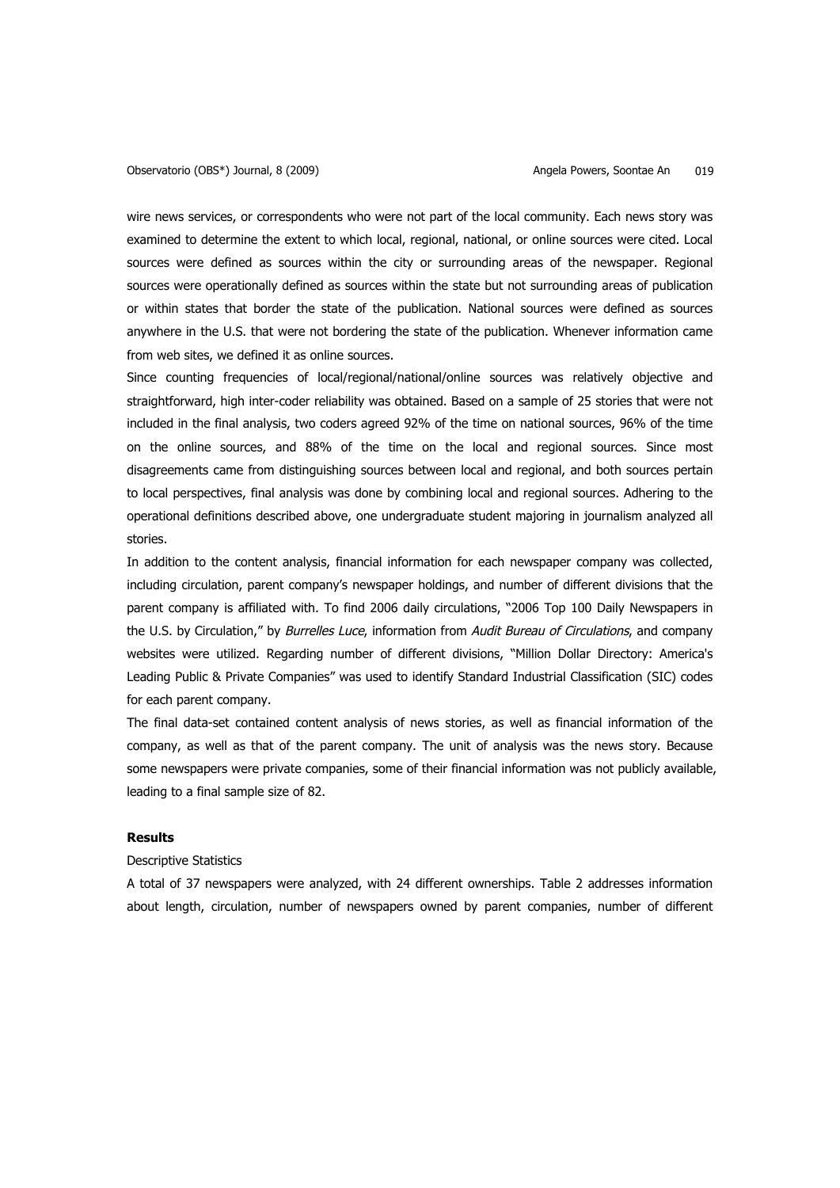wire news services, or correspondents who were not part of the local community. Each news story was examined to determine the extent to which local, regional, national, or online sources were cited. Local sources were defined as sources within the city or surrounding areas of the newspaper. Regional sources were operationally defined as sources within the state but not surrounding areas of publication or within states that border the state of the publication. National sources were defined as sources anywhere in the U.S. that were not bordering the state of the publication. Whenever information came from web sites, we defined it as online sources.

Since counting frequencies of local/regional/national/online sources was relatively objective and straightforward, high inter-coder reliability was obtained. Based on a sample of 25 stories that were not included in the final analysis, two coders agreed 92% of the time on national sources, 96% of the time on the online sources, and 88% of the time on the local and regional sources. Since most disagreements came from distinguishing sources between local and regional, and both sources pertain to local perspectives, final analysis was done by combining local and regional sources. Adhering to the operational definitions described above, one undergraduate student majoring in journalism analyzed all stories.

In addition to the content analysis, financial information for each newspaper company was collected, including circulation, parent company's newspaper holdings, and number of different divisions that the parent company is affiliated with. To find 2006 daily circulations, "2006 Top 100 Daily Newspapers in the U.S. by Circulation," by Burrelles Luce, information from Audit Bureau of Circulations, and company websites were utilized. Regarding number of different divisions, "Million Dollar Directory: America's Leading Public & Private Companies" was used to identify Standard Industrial Classification (SIC) codes for each parent company.

The final data-set contained content analysis of news stories, as well as financial information of the company, as well as that of the parent company. The unit of analysis was the news story. Because some newspapers were private companies, some of their financial information was not publicly available, leading to a final sample size of 82.

## **Results**

# Descriptive Statistics

A total of 37 newspapers were analyzed, with 24 different ownerships. Table 2 addresses information about length, circulation, number of newspapers owned by parent companies, number of different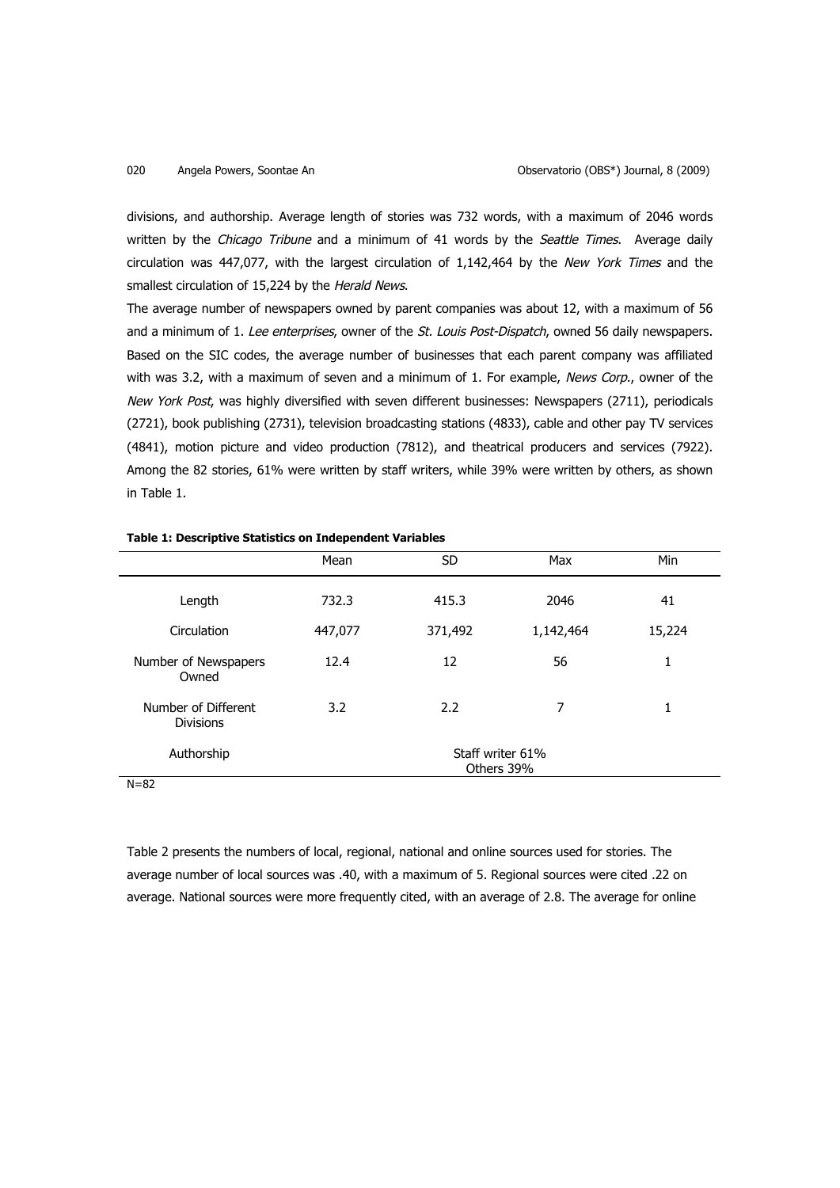divisions, and authorship. Average length of stories was 732 words, with a maximum of 2046 words written by the Chicago Tribune and a minimum of 41 words by the Seattle Times. Average daily circulation was 447,077, with the largest circulation of 1,142,464 by the New York Times and the smallest circulation of 15,224 by the Herald News.

The average number of newspapers owned by parent companies was about 12, with a maximum of 56 and a minimum of 1. Lee enterprises, owner of the St. Louis Post-Dispatch, owned 56 daily newspapers. Based on the SIC codes, the average number of businesses that each parent company was affiliated with was 3.2, with a maximum of seven and a minimum of 1. For example, News Corp., owner of the New York Post, was highly diversified with seven different businesses: Newspapers (2711), periodicals (2721), book publishing (2731), television broadcasting stations (4833), cable and other pay TV services (4841), motion picture and video production (7812), and theatrical producers and services (7922). Among the 82 stories, 61% were written by staff writers, while 39% were written by others, as shown in Table 1.

|                                         | Mean                           | <b>SD</b> | Max       | Min    |
|-----------------------------------------|--------------------------------|-----------|-----------|--------|
| Length                                  | 732.3                          | 415.3     | 2046      | 41     |
| Circulation                             | 447,077                        | 371,492   | 1,142,464 | 15,224 |
| Number of Newspapers<br>Owned           | 12.4                           | 12        | 56        | 1      |
| Number of Different<br><b>Divisions</b> | 3.2                            | 2.2       | 7         | 1      |
| Authorship<br>$N = 02$                  | Staff writer 61%<br>Others 39% |           |           |        |

### **Table 1: Descriptive Statistics on Independent Variables**

 $N = 82$ 

Table 2 presents the numbers of local, regional, national and online sources used for stories. The average number of local sources was .40, with a maximum of 5. Regional sources were cited .22 on average. National sources were more frequently cited, with an average of 2.8. The average for online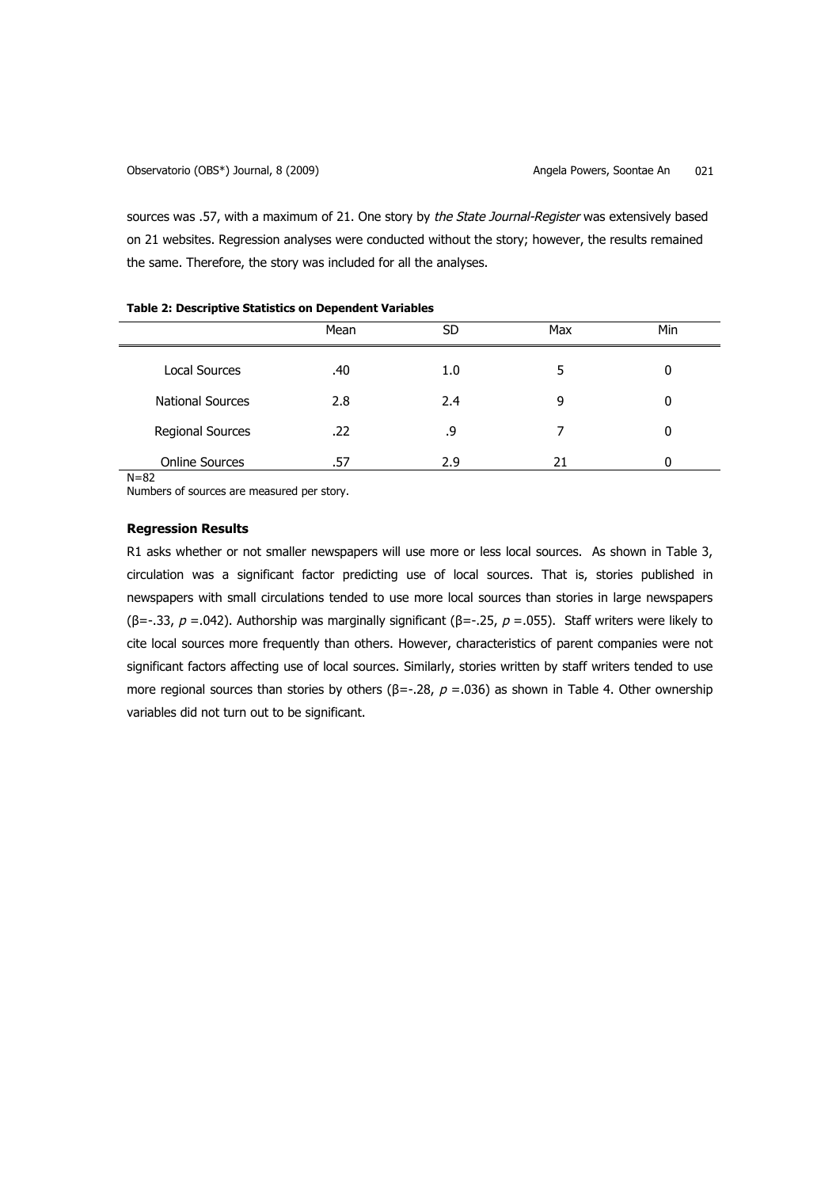sources was .57, with a maximum of 21. One story by the State Journal-Register was extensively based on 21 websites. Regression analyses were conducted without the story; however, the results remained the same. Therefore, the story was included for all the analyses.

| . .                     |      |     |     |     |  |
|-------------------------|------|-----|-----|-----|--|
|                         | Mean | SD  | Max | Min |  |
| <b>Local Sources</b>    | .40  | 1.0 | 5   | 0   |  |
| <b>National Sources</b> | 2.8  | 2.4 | 9   | 0   |  |
| <b>Regional Sources</b> | .22  | .9  |     | 0   |  |
| <b>Online Sources</b>   | .57  | 2.9 |     | 0   |  |

# **Table 2: Descriptive Statistics on Dependent Variables**

 $N=82$ 

Numbers of sources are measured per story.

# **Regression Results**

R1 asks whether or not smaller newspapers will use more or less local sources. As shown in Table 3, circulation was a significant factor predicting use of local sources. That is, stories published in newspapers with small circulations tended to use more local sources than stories in large newspapers (β=-.33,  $p = .042$ ). Authorship was marginally significant (β=-.25,  $p = .055$ ). Staff writers were likely to cite local sources more frequently than others. However, characteristics of parent companies were not significant factors affecting use of local sources. Similarly, stories written by staff writers tended to use more regional sources than stories by others (β=-.28,  $p = .036$ ) as shown in Table 4. Other ownership variables did not turn out to be significant.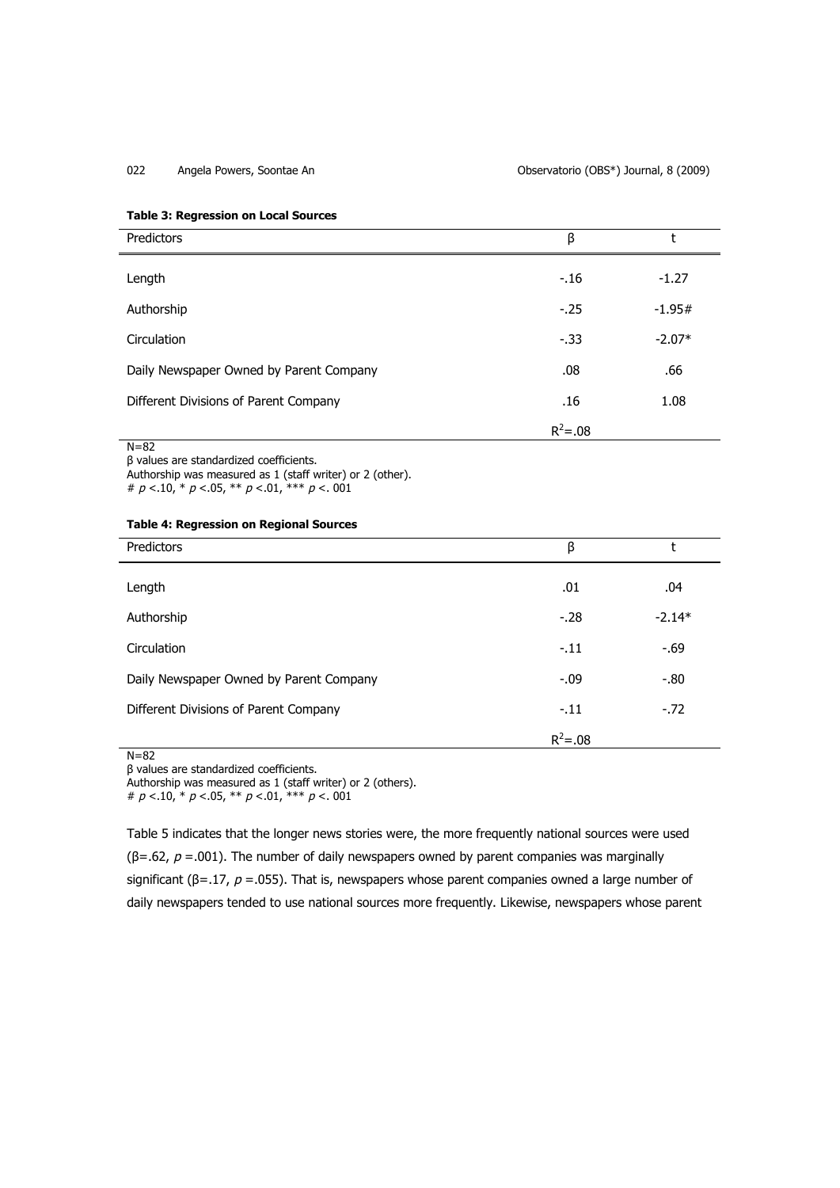022 Angela Powers, Soontae An Observatorio (OBS\*) Journal, 8 (2009)

## **Table 3: Regression on Local Sources**

| Predictors                              | β           |          |
|-----------------------------------------|-------------|----------|
| Length                                  | $-16$       | $-1.27$  |
| Authorship                              | $-0.25$     | $-1.95#$ |
| Circulation                             | $-0.33$     | $-2.07*$ |
| Daily Newspaper Owned by Parent Company | .08         | .66      |
| Different Divisions of Parent Company   | .16         | 1.08     |
|                                         | $R^2 = .08$ |          |
| $N = 82$                                |             |          |

β values are standardized coefficients.

Authorship was measured as 1 (staff writer) or 2 (other). #  $p < 10$ , \*  $p < 05$ , \*\*  $p < 01$ , \*\*\*  $p < 001$ 

## **Table 4: Regression on Regional Sources**

| Predictors                              | β           | ۰        |
|-----------------------------------------|-------------|----------|
| Length                                  | .01         | .04      |
| Authorship                              | $-.28$      | $-2.14*$ |
| Circulation                             | $-11$       | $-69$    |
| Daily Newspaper Owned by Parent Company | $-0.09$     | $-0.80$  |
| Different Divisions of Parent Company   | $-11$       | $-.72$   |
|                                         | $R^2 = .08$ |          |

# $N=82$

β values are standardized coefficients.

Authorship was measured as 1 (staff writer) or 2 (others).

#  $p < 10$ , \*  $p < 05$ , \*\*  $p < 01$ , \*\*\*  $p < 001$ 

Table 5 indicates that the longer news stories were, the more frequently national sources were used ( $\beta$ =.62,  $p$  =.001). The number of daily newspapers owned by parent companies was marginally significant ( $\beta$ =.17,  $p$  =.055). That is, newspapers whose parent companies owned a large number of daily newspapers tended to use national sources more frequently. Likewise, newspapers whose parent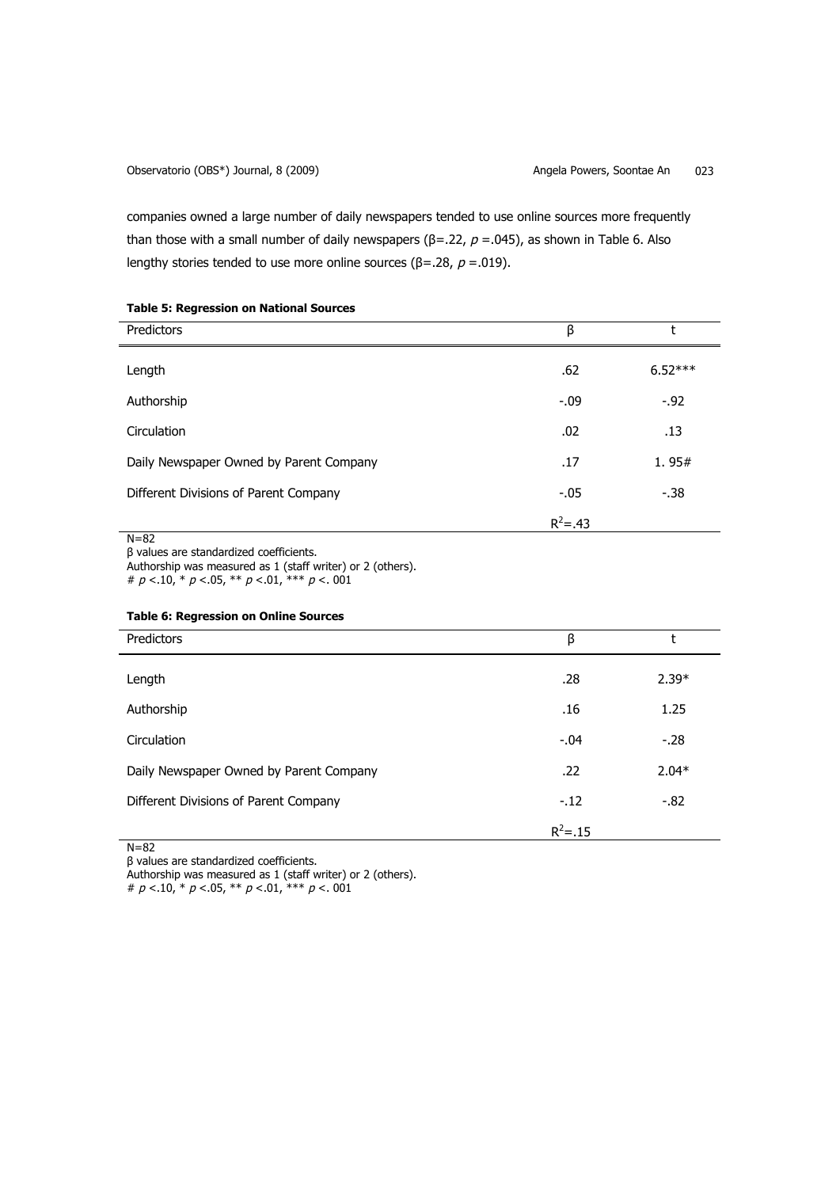companies owned a large number of daily newspapers tended to use online sources more frequently than those with a small number of daily newspapers ( $\beta$ =.22,  $p$  =.045), as shown in Table 6. Also lengthy stories tended to use more online sources (β=.28,  $p = .019$ ).

| Predictors                              | β           |           |
|-----------------------------------------|-------------|-----------|
| Length                                  | .62         | $6.52***$ |
| Authorship                              | $-.09$      | $-0.92$   |
| Circulation                             | .02         | .13       |
| Daily Newspaper Owned by Parent Company | .17         | 1.95#     |
| Different Divisions of Parent Company   | $-0.05$     | $-38$     |
|                                         | $R^2 = .43$ |           |

# **Table 5: Regression on National Sources**

N=82

β values are standardized coefficients.

Authorship was measured as 1 (staff writer) or 2 (others).

#  $p < 10$ , \*  $p < 05$ , \*\*  $p < 01$ , \*\*\*  $p < 001$ 

## **Table 6: Regression on Online Sources**

| Predictors                              | β           |         |
|-----------------------------------------|-------------|---------|
| Length                                  | .28         | $2.39*$ |
| Authorship                              | .16         | 1.25    |
| Circulation                             | $-.04$      | $-28$   |
| Daily Newspaper Owned by Parent Company | .22         | $2.04*$ |
| Different Divisions of Parent Company   | $-.12$      | $-82$   |
|                                         | $R^2 = .15$ |         |

N=82

β values are standardized coefficients.

Authorship was measured as 1 (staff writer) or 2 (others).

#  $p < 10$ , \*  $p < 05$ , \*\*  $p < 01$ , \*\*\*  $p < 001$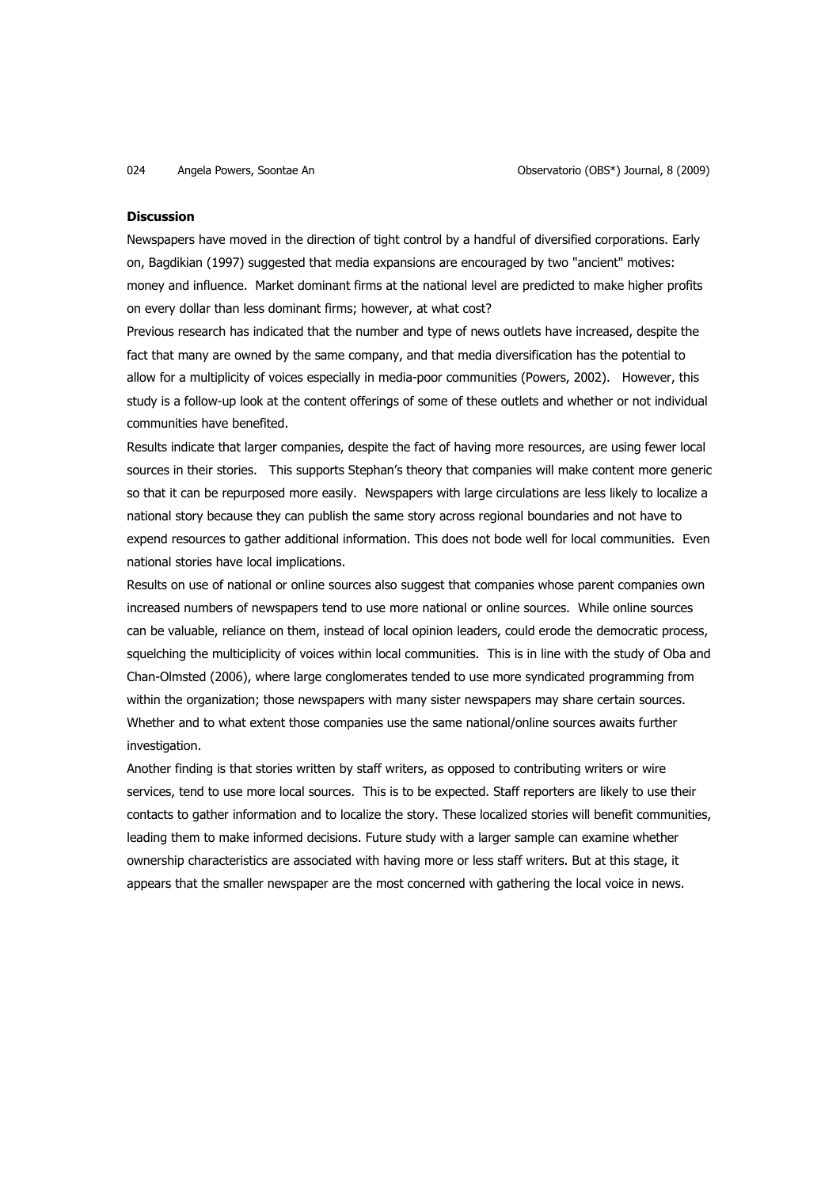### **Discussion**

Newspapers have moved in the direction of tight control by a handful of diversified corporations. Early on, Bagdikian (1997) suggested that media expansions are encouraged by two "ancient" motives: money and influence. Market dominant firms at the national level are predicted to make higher profits on every dollar than less dominant firms; however, at what cost?

Previous research has indicated that the number and type of news outlets have increased, despite the fact that many are owned by the same company, and that media diversification has the potential to allow for a multiplicity of voices especially in media-poor communities (Powers, 2002). However, this study is a follow-up look at the content offerings of some of these outlets and whether or not individual communities have benefited.

Results indicate that larger companies, despite the fact of having more resources, are using fewer local sources in their stories. This supports Stephan's theory that companies will make content more generic so that it can be repurposed more easily. Newspapers with large circulations are less likely to localize a national story because they can publish the same story across regional boundaries and not have to expend resources to gather additional information. This does not bode well for local communities. Even national stories have local implications.

Results on use of national or online sources also suggest that companies whose parent companies own increased numbers of newspapers tend to use more national or online sources. While online sources can be valuable, reliance on them, instead of local opinion leaders, could erode the democratic process, squelching the multiciplicity of voices within local communities. This is in line with the study of Oba and Chan-Olmsted (2006), where large conglomerates tended to use more syndicated programming from within the organization; those newspapers with many sister newspapers may share certain sources. Whether and to what extent those companies use the same national/online sources awaits further investigation.

Another finding is that stories written by staff writers, as opposed to contributing writers or wire services, tend to use more local sources. This is to be expected. Staff reporters are likely to use their contacts to gather information and to localize the story. These localized stories will benefit communities, leading them to make informed decisions. Future study with a larger sample can examine whether ownership characteristics are associated with having more or less staff writers. But at this stage, it appears that the smaller newspaper are the most concerned with gathering the local voice in news.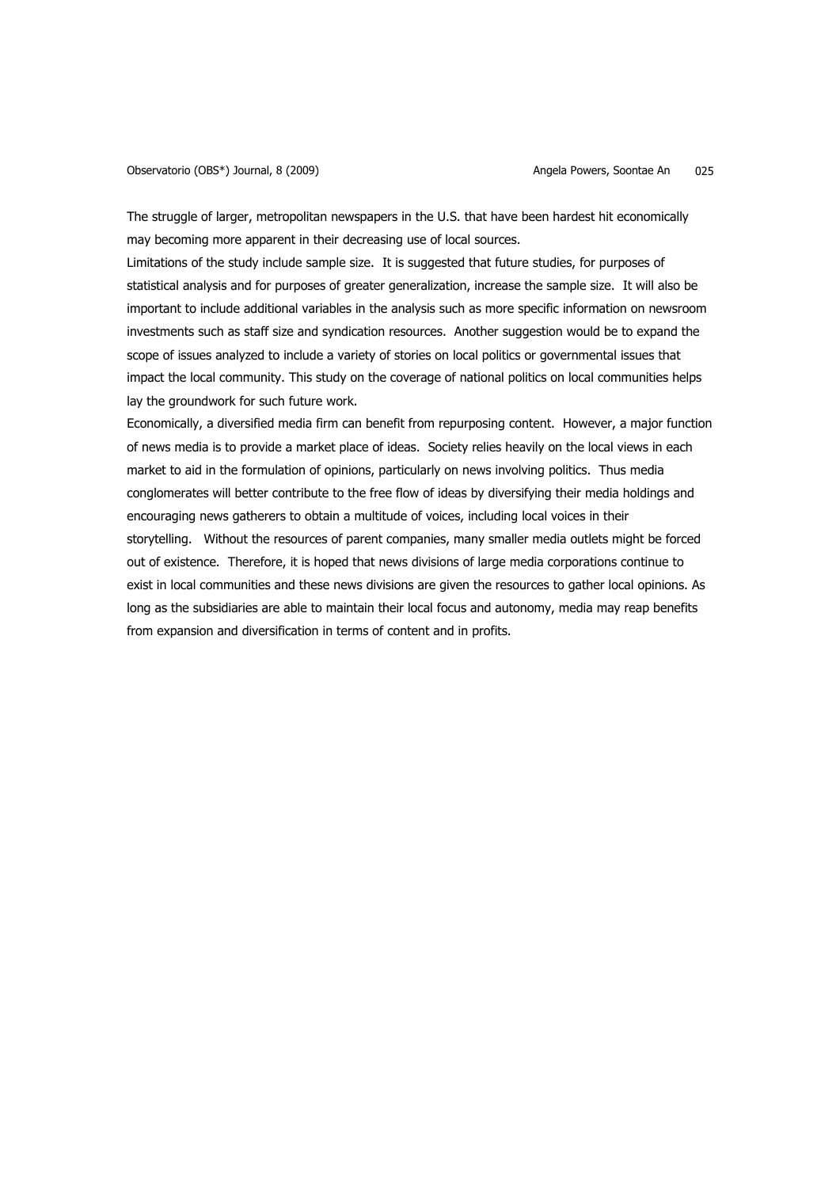The struggle of larger, metropolitan newspapers in the U.S. that have been hardest hit economically may becoming more apparent in their decreasing use of local sources.

Limitations of the study include sample size. It is suggested that future studies, for purposes of statistical analysis and for purposes of greater generalization, increase the sample size. It will also be important to include additional variables in the analysis such as more specific information on newsroom investments such as staff size and syndication resources. Another suggestion would be to expand the scope of issues analyzed to include a variety of stories on local politics or governmental issues that impact the local community. This study on the coverage of national politics on local communities helps lay the groundwork for such future work.

Economically, a diversified media firm can benefit from repurposing content. However, a major function of news media is to provide a market place of ideas. Society relies heavily on the local views in each market to aid in the formulation of opinions, particularly on news involving politics. Thus media conglomerates will better contribute to the free flow of ideas by diversifying their media holdings and encouraging news gatherers to obtain a multitude of voices, including local voices in their storytelling. Without the resources of parent companies, many smaller media outlets might be forced out of existence. Therefore, it is hoped that news divisions of large media corporations continue to exist in local communities and these news divisions are given the resources to gather local opinions. As long as the subsidiaries are able to maintain their local focus and autonomy, media may reap benefits from expansion and diversification in terms of content and in profits.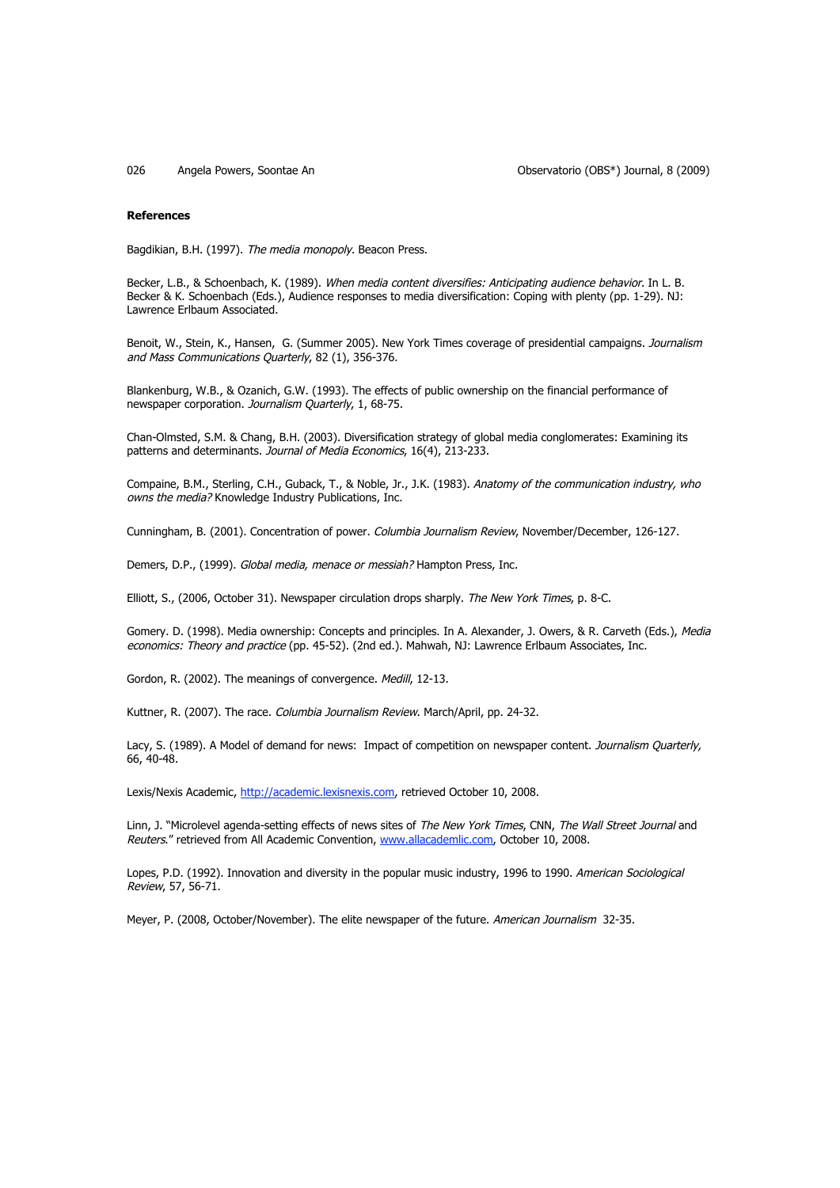026 Angela Powers, Soontae An Observatorio (OBS\*) Journal, 8 (2009)

### **References**

Bagdikian, B.H. (1997). The media monopoly. Beacon Press.

Becker, L.B., & Schoenbach, K. (1989). When media content diversifies: Anticipating audience behavior. In L. B. Becker & K. Schoenbach (Eds.), Audience responses to media diversification: Coping with plenty (pp. 1-29). NJ: Lawrence Erlbaum Associated.

Benoit, W., Stein, K., Hansen, G. (Summer 2005). New York Times coverage of presidential campaigns. Journalism and Mass Communications Quarterly, 82 (1), 356-376.

Blankenburg, W.B., & Ozanich, G.W. (1993). The effects of public ownership on the financial performance of newspaper corporation. Journalism Quarterly, 1, 68-75.

Chan-Olmsted, S.M. & Chang, B.H. (2003). Diversification strategy of global media conglomerates: Examining its patterns and determinants. Journal of Media Economics, 16(4), 213-233.

Compaine, B.M., Sterling, C.H., Guback, T., & Noble, Jr., J.K. (1983). Anatomy of the communication industry, who owns the media? Knowledge Industry Publications, Inc.

Cunningham, B. (2001). Concentration of power. Columbia Journalism Review, November/December, 126-127.

Demers, D.P., (1999). Global media, menace or messiah? Hampton Press, Inc.

Elliott, S., (2006, October 31). Newspaper circulation drops sharply. The New York Times, p. 8-C.

Gomery. D. (1998). Media ownership: Concepts and principles. In A. Alexander, J. Owers, & R. Carveth (Eds.), Media economics: Theory and practice (pp. 45-52). (2nd ed.). Mahwah, NJ: Lawrence Erlbaum Associates, Inc.

Gordon, R. (2002). The meanings of convergence. Medill, 12-13.

Kuttner, R. (2007). The race. Columbia Journalism Review. March/April, pp. 24-32.

Lacy, S. (1989). A Model of demand for news: Impact of competition on newspaper content. Journalism Quarterly, 66, 40-48.

Lexis/Nexis Academic, http://academic.lexisnexis.com, retrieved October 10, 2008.

Linn, J. "Microlevel agenda-setting effects of news sites of The New York Times, CNN, The Wall Street Journal and Reuters." retrieved from All Academic Convention, www.allacademlic.com, October 10, 2008.

Lopes, P.D. (1992). Innovation and diversity in the popular music industry, 1996 to 1990. American Sociological Review, 57, 56-71.

Meyer, P. (2008, October/November). The elite newspaper of the future. American Journalism 32-35.